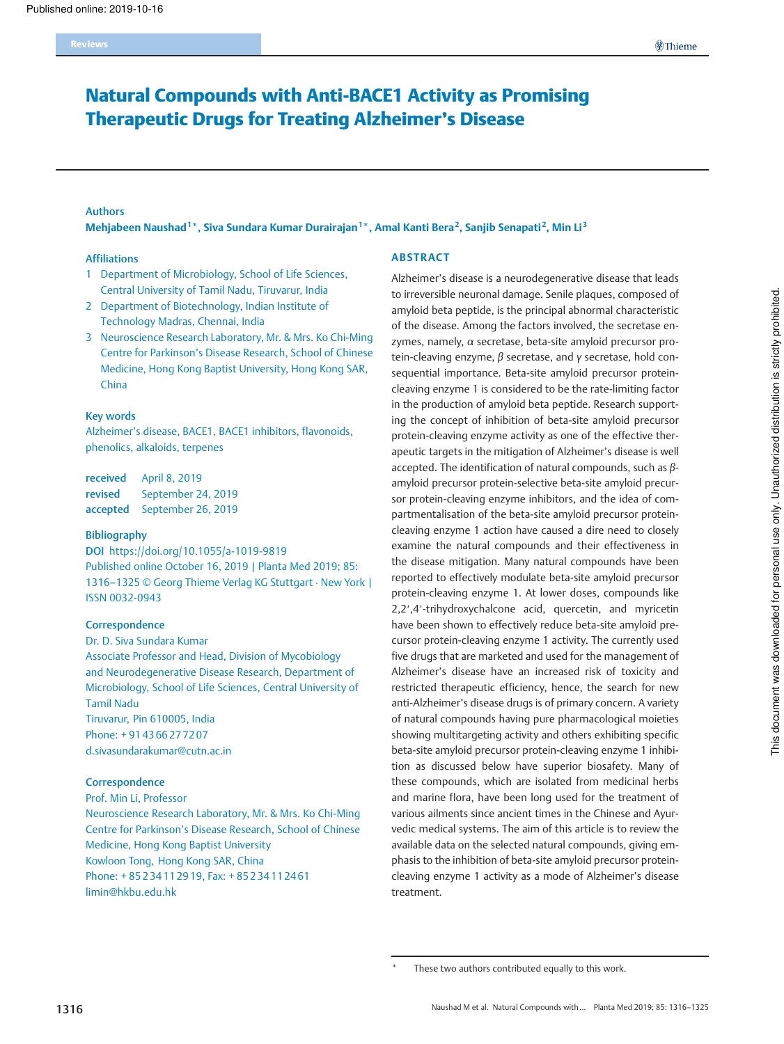# Natural Compounds with Anti-BACE1 Activity as Promising Therapeutic Drugs for Treating Alzheimer's Disease

### Authors

Mehjabeen Naushad<sup>1</sup>\*, Siva Sundara Kumar Durairajan<sup>1\*</sup>, Amal Kanti Bera<sup>2</sup>, Sanjib Senapati<sup>2</sup>, Min Li<sup>3</sup>

## Affiliations

- 1 Department of Microbiology, School of Life Sciences, Central University of Tamil Nadu, Tiruvarur, India
- 2 Department of Biotechnology, Indian Institute of Technology Madras, Chennai, India
- 3 Neuroscience Research Laboratory, Mr. & Mrs. Ko Chi-Ming Centre for Parkinson's Disease Research, School of Chinese Medicine, Hong Kong Baptist University, Hong Kong SAR, China

#### Key words

Alzheimer's disease, BACE1, BACE1 inhibitors, flavonoids, phenolics, alkaloids, terpenes

| received | April 8, 2019               |
|----------|-----------------------------|
| revised  | September 24, 2019          |
|          | accepted September 26, 2019 |

### Bibliography

DOI https://doi.org/10.1055/a-1019-9819 Published online October 16, 2019 | Planta Med 2019; 85: 1316–1325 © Georg Thieme Verlag KG Stuttgart · New York | ISSN 0032‑0943

#### **Correspondence**

Dr. D. Siva Sundara Kumar Associate Professor and Head, Division of Mycobiology and Neurodegenerative Disease Research, Department of Microbiology, School of Life Sciences, Central University of Tamil Nadu Tiruvarur, Pin 610005, India Phone: + 91 43 66 27 72 07 d.sivasundarakumar@cutn.ac.in

#### **Correspondence**

Prof. Min Li, Professor

Neuroscience Research Laboratory, Mr. & Mrs. Ko Chi-Ming Centre for Parkinson's Disease Research, School of Chinese Medicine, Hong Kong Baptist University Kowloon Tong, Hong Kong SAR, China Phone: + 85 2 34 11 29 19, Fax: + 85 2 34 11 24 61 limin@hkbu.edu.hk

#### ABSTRACT

Alzheimer's disease is a neurodegenerative disease that leads to irreversible neuronal damage. Senile plaques, composed of amyloid beta peptide, is the principal abnormal characteristic of the disease. Among the factors involved, the secretase enzymes, namely, α secretase, beta-site amyloid precursor protein-cleaving enzyme,  $β$  secretase, and  $γ$  secretase, hold consequential importance. Beta-site amyloid precursor proteincleaving enzyme 1 is considered to be the rate-limiting factor in the production of amyloid beta peptide. Research supporting the concept of inhibition of beta-site amyloid precursor protein-cleaving enzyme activity as one of the effective therapeutic targets in the mitigation of Alzheimer's disease is well accepted. The identification of natural compounds, such as βamyloid precursor protein-selective beta-site amyloid precursor protein-cleaving enzyme inhibitors, and the idea of compartmentalisation of the beta-site amyloid precursor proteincleaving enzyme 1 action have caused a dire need to closely examine the natural compounds and their effectiveness in the disease mitigation. Many natural compounds have been reported to effectively modulate beta-site amyloid precursor protein-cleaving enzyme 1. At lower doses, compounds like 2,2′,4′-trihydroxychalcone acid, quercetin, and myricetin have been shown to effectively reduce beta-site amyloid precursor protein-cleaving enzyme 1 activity. The currently used five drugs that are marketed and used for the management of Alzheimer's disease have an increased risk of toxicity and restricted therapeutic efficiency, hence, the search for new anti-Alzheimer's disease drugs is of primary concern. A variety of natural compounds having pure pharmacological moieties showing multitargeting activity and others exhibiting specific beta-site amyloid precursor protein-cleaving enzyme 1 inhibition as discussed below have superior biosafety. Many of these compounds, which are isolated from medicinal herbs and marine flora, have been long used for the treatment of various ailments since ancient times in the Chinese and Ayurvedic medical systems. The aim of this article is to review the available data on the selected natural compounds, giving emphasis to the inhibition of beta-site amyloid precursor proteincleaving enzyme 1 activity as a mode of Alzheimer's disease treatment.

These two authors contributed equally to this work.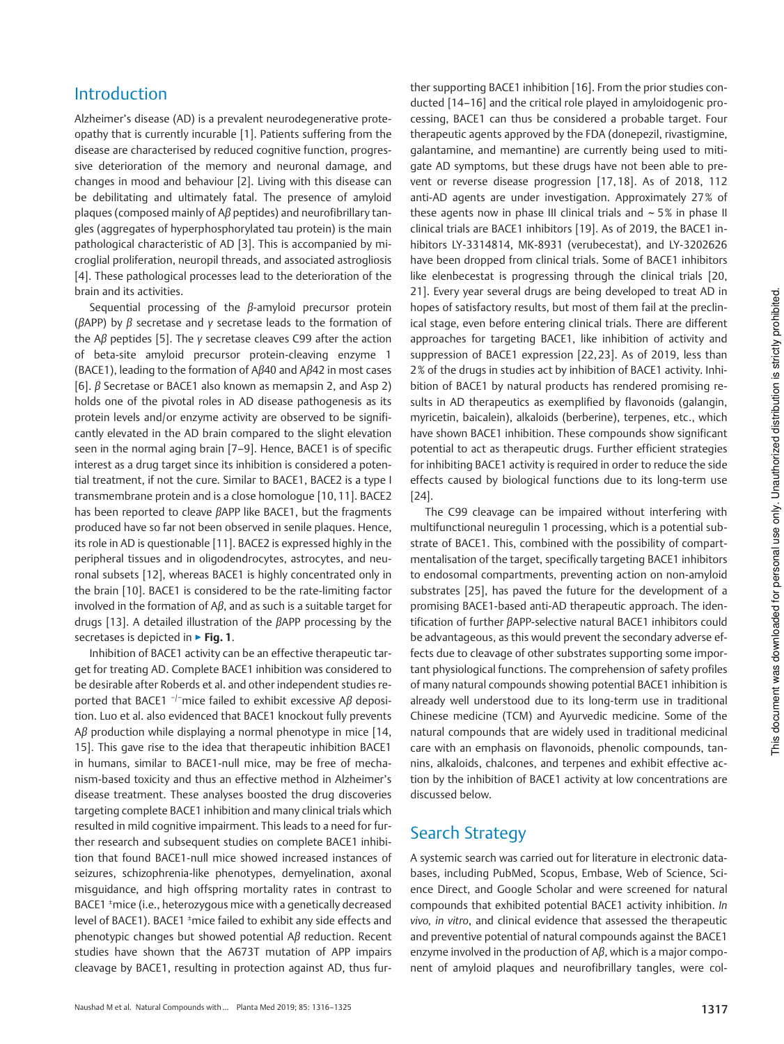# Introduction

Alzheimer's disease (AD) is a prevalent neurodegenerative proteopathy that is currently incurable [1]. Patients suffering from the disease are characterised by reduced cognitive function, progressive deterioration of the memory and neuronal damage, and changes in mood and behaviour [2]. Living with this disease can be debilitating and ultimately fatal. The presence of amyloid plaques (composed mainly of Aβ peptides) and neurofibrillary tangles (aggregates of hyperphosphorylated tau protein) is the main pathological characteristic of AD [3]. This is accompanied by microglial proliferation, neuropil threads, and associated astrogliosis [4]. These pathological processes lead to the deterioration of the brain and its activities.

Sequential processing of the  $β$ -amyloid precursor protein ( $\beta$ APP) by  $\beta$  secretase and  $\gamma$  secretase leads to the formation of the Aβ peptides [5]. The γ secretase cleaves C99 after the action of beta-site amyloid precursor protein-cleaving enzyme 1 (BACE1), leading to the formation of Aβ40 and Aβ42 in most cases [6]. β Secretase or BACE1 also known as memapsin 2, and Asp 2) holds one of the pivotal roles in AD disease pathogenesis as its protein levels and/or enzyme activity are observed to be significantly elevated in the AD brain compared to the slight elevation seen in the normal aging brain [7–9]. Hence, BACE1 is of specific interest as a drug target since its inhibition is considered a potential treatment, if not the cure. Similar to BACE1, BACE2 is a type I transmembrane protein and is a close homologue [10, 11]. BACE2 has been reported to cleave βAPP like BACE1, but the fragments produced have so far not been observed in senile plaques. Hence, its role in AD is questionable [11]. BACE2 is expressed highly in the peripheral tissues and in oligodendrocytes, astrocytes, and neuronal subsets [12], whereas BACE1 is highly concentrated only in the brain [10]. BACE1 is considered to be the rate-limiting factor involved in the formation of A $\beta$ , and as such is a suitable target for drugs [13]. A detailed illustration of the βAPP processing by the secretases is depicted in ► Fig. 1.

Inhibition of BACE1 activity can be an effective therapeutic target for treating AD. Complete BACE1 inhibition was considered to be desirable after Roberds et al. and other independent studies reported that BACE1  $^{-/-}$ mice failed to exhibit excessive A $\beta$  deposition. Luo et al. also evidenced that BACE1 knockout fully prevents  $A\beta$  production while displaying a normal phenotype in mice [14, 15]. This gave rise to the idea that therapeutic inhibition BACE1 in humans, similar to BACE1-null mice, may be free of mechanism-based toxicity and thus an effective method in Alzheimer's disease treatment. These analyses boosted the drug discoveries targeting complete BACE1 inhibition and many clinical trials which resulted in mild cognitive impairment. This leads to a need for further research and subsequent studies on complete BACE1 inhibition that found BACE1-null mice showed increased instances of seizures, schizophrenia-like phenotypes, demyelination, axonal misguidance, and high offspring mortality rates in contrast to BACE1 <sup>±</sup>mice (i.e., heterozygous mice with a genetically decreased level of BACE1). BACE1 <sup>±</sup>mice failed to exhibit any side effects and phenotypic changes but showed potential Aβ reduction. Recent studies have shown that the A673T mutation of APP impairs cleavage by BACE1, resulting in protection against AD, thus further supporting BACE1 inhibition [16]. From the prior studies conducted [14–16] and the critical role played in amyloidogenic processing, BACE1 can thus be considered a probable target. Four therapeutic agents approved by the FDA (donepezil, rivastigmine, galantamine, and memantine) are currently being used to mitigate AD symptoms, but these drugs have not been able to prevent or reverse disease progression [17, 18]. As of 2018, 112 anti-AD agents are under investigation. Approximately 27% of these agents now in phase III clinical trials and  $\sim$  5% in phase II clinical trials are BACE1 inhibitors [19]. As of 2019, the BACE1 inhibitors LY-3314814, MK-8931 (verubecestat), and LY-3202626 have been dropped from clinical trials. Some of BACE1 inhibitors like elenbecestat is progressing through the clinical trials [20, 21]. Every year several drugs are being developed to treat AD in hopes of satisfactory results, but most of them fail at the preclinical stage, even before entering clinical trials. There are different approaches for targeting BACE1, like inhibition of activity and suppression of BACE1 expression [22, 23]. As of 2019, less than 2% of the drugs in studies act by inhibition of BACE1 activity. Inhibition of BACE1 by natural products has rendered promising results in AD therapeutics as exemplified by flavonoids (galangin, myricetin, baicalein), alkaloids (berberine), terpenes, etc., which have shown BACE1 inhibition. These compounds show significant potential to act as therapeutic drugs. Further efficient strategies for inhibiting BACE1 activity is required in order to reduce the side effects caused by biological functions due to its long-term use [24].

The C99 cleavage can be impaired without interfering with multifunctional neuregulin 1 processing, which is a potential substrate of BACE1. This, combined with the possibility of compartmentalisation of the target, specifically targeting BACE1 inhibitors to endosomal compartments, preventing action on non-amyloid substrates [25], has paved the future for the development of a promising BACE1-based anti-AD therapeutic approach. The identification of further βAPP-selective natural BACE1 inhibitors could be advantageous, as this would prevent the secondary adverse effects due to cleavage of other substrates supporting some important physiological functions. The comprehension of safety profiles of many natural compounds showing potential BACE1 inhibition is already well understood due to its long-term use in traditional Chinese medicine (TCM) and Ayurvedic medicine. Some of the natural compounds that are widely used in traditional medicinal care with an emphasis on flavonoids, phenolic compounds, tannins, alkaloids, chalcones, and terpenes and exhibit effective action by the inhibition of BACE1 activity at low concentrations are discussed below.

## Search Strategy

A systemic search was carried out for literature in electronic databases, including PubMed, Scopus, Embase, Web of Science, Science Direct, and Google Scholar and were screened for natural compounds that exhibited potential BACE1 activity inhibition. In vivo, in vitro, and clinical evidence that assessed the therapeutic and preventive potential of natural compounds against the BACE1 enzyme involved in the production of  $A\beta$ , which is a major component of amyloid plaques and neurofibrillary tangles, were col-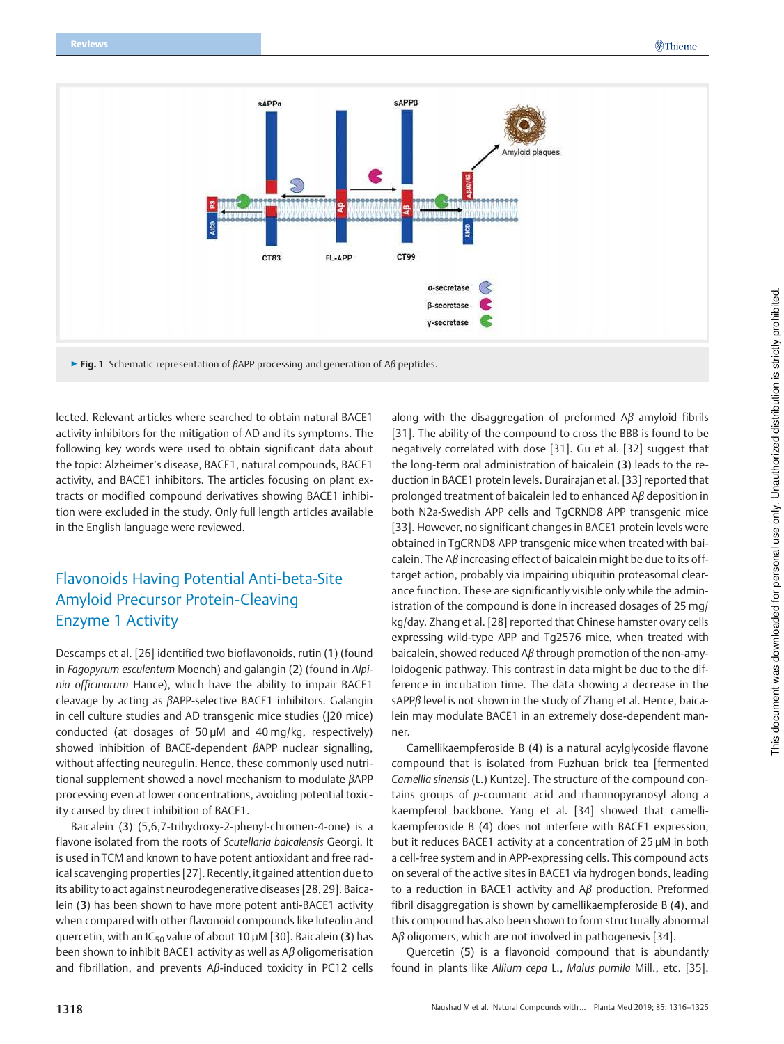

 $▶$  Fig. 1 Schematic representation of  $\beta$ APP processing and generation of A $\beta$  peptides.

lected. Relevant articles where searched to obtain natural BACE1 activity inhibitors for the mitigation of AD and its symptoms. The following key words were used to obtain significant data about the topic: Alzheimer's disease, BACE1, natural compounds, BACE1 activity, and BACE1 inhibitors. The articles focusing on plant extracts or modified compound derivatives showing BACE1 inhibition were excluded in the study. Only full length articles available in the English language were reviewed.

## Flavonoids Having Potential Anti-beta-Site Amyloid Precursor Protein-Cleaving Enzyme 1 Activity

Descamps et al. [26] identified two bioflavonoids, rutin (1) (found in Fagopyrum esculentum Moench) and galangin (2) (found in Alpinia officinarum Hance), which have the ability to impair BACE1 cleavage by acting as βAPP-selective BACE1 inhibitors. Galangin in cell culture studies and AD transgenic mice studies (J20 mice) conducted (at dosages of 50 µM and 40 mg/kg, respectively) showed inhibition of BACE-dependent βAPP nuclear signalling, without affecting neuregulin. Hence, these commonly used nutritional supplement showed a novel mechanism to modulate βAPP processing even at lower concentrations, avoiding potential toxicity caused by direct inhibition of BACE1.

Baicalein (3) (5,6,7-trihydroxy-2-phenyl-chromen-4-one) is a flavone isolated from the roots of Scutellaria baicalensis Georgi. It is used in TCM and known to have potent antioxidant and free radical scavenging properties [27]. Recently, it gained attention due to its ability to act against neurodegenerative diseases [28, 29]. Baicalein (3) has been shown to have more potent anti-BACE1 activity when compared with other flavonoid compounds like luteolin and quercetin, with an  $IC_{50}$  value of about 10  $\mu$ M [30]. Baicalein (3) has been shown to inhibit BACE1 activity as well as  $A\beta$  oligomerisation and fibrillation, and prevents Aβ-induced toxicity in PC12 cells

along with the disaggregation of preformed Aβ amyloid fibrils [31]. The ability of the compound to cross the BBB is found to be negatively correlated with dose [31]. Gu et al. [32] suggest that the long-term oral administration of baicalein (3) leads to the reduction in BACE1 protein levels. Durairajan et al. [33] reported that prolonged treatment of baicalein led to enhanced Aβ deposition in both N2a-Swedish APP cells and TgCRND8 APP transgenic mice [33]. However, no significant changes in BACE1 protein levels were obtained in TgCRND8 APP transgenic mice when treated with baicalein. The Aβ increasing effect of baicalein might be due to its offtarget action, probably via impairing ubiquitin proteasomal clearance function. These are significantly visible only while the administration of the compound is done in increased dosages of 25 mg/ kg/day. Zhang et al. [28] reported that Chinese hamster ovary cells expressing wild-type APP and Tg2576 mice, when treated with baicalein, showed reduced Aβ through promotion of the non-amyloidogenic pathway. This contrast in data might be due to the difference in incubation time. The data showing a decrease in the sAPPβ level is not shown in the study of Zhang et al. Hence, baicalein may modulate BACE1 in an extremely dose-dependent manner.

Camellikaempferoside B (4) is a natural acylglycoside flavone compound that is isolated from Fuzhuan brick tea [fermented Camellia sinensis (L.) Kuntze]. The structure of the compound contains groups of p-coumaric acid and rhamnopyranosyl along a kaempferol backbone. Yang et al. [34] showed that camellikaempferoside B (4) does not interfere with BACE1 expression, but it reduces BACE1 activity at a concentration of 25 µM in both a cell-free system and in APP-expressing cells. This compound acts on several of the active sites in BACE1 via hydrogen bonds, leading to a reduction in BACE1 activity and  $Aβ$  production. Preformed fibril disaggregation is shown by camellikaempferoside B (4), and this compound has also been shown to form structurally abnormal Aβ oligomers, which are not involved in pathogenesis [34].

Quercetin (5) is a flavonoid compound that is abundantly found in plants like Allium cepa L., Malus pumila Mill., etc. [35].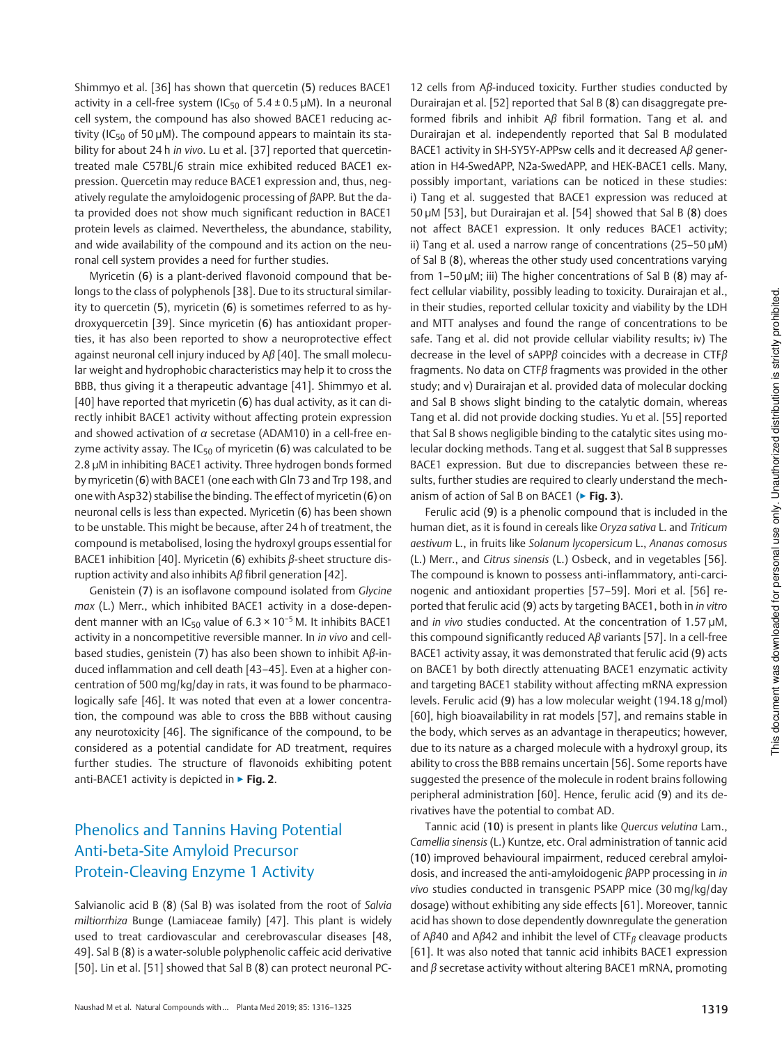Shimmyo et al. [36] has shown that quercetin (5) reduces BACE1 activity in a cell-free system (IC<sub>50</sub> of  $5.4 \pm 0.5$  µM). In a neuronal cell system, the compound has also showed BACE1 reducing activity (IC<sub>50</sub> of 50  $\mu$ M). The compound appears to maintain its stability for about 24 h in vivo. Lu et al. [37] reported that quercetintreated male C57BL/6 strain mice exhibited reduced BACE1 expression. Quercetin may reduce BACE1 expression and, thus, negatively regulate the amyloidogenic processing of βAPP. But the data provided does not show much significant reduction in BACE1 protein levels as claimed. Nevertheless, the abundance, stability, and wide availability of the compound and its action on the neuronal cell system provides a need for further studies.

Myricetin (6) is a plant-derived flavonoid compound that belongs to the class of polyphenols [38]. Due to its structural similarity to quercetin (5), myricetin (6) is sometimes referred to as hydroxyquercetin [39]. Since myricetin (6) has antioxidant properties, it has also been reported to show a neuroprotective effect against neuronal cell injury induced by Aβ [40]. The small molecular weight and hydrophobic characteristics may help it to cross the BBB, thus giving it a therapeutic advantage [41]. Shimmyo et al. [40] have reported that myricetin (6) has dual activity, as it can directly inhibit BACE1 activity without affecting protein expression and showed activation of α secretase (ADAM10) in a cell-free enzyme activity assay. The  $IC_{50}$  of myricetin (6) was calculated to be 2.8 µM in inhibiting BACE1 activity. Three hydrogen bonds formed by myricetin (6) with BACE1 (one each with Gln 73 and Trp 198, and one with Asp32) stabilise the binding. The effect of myricetin (6) on neuronal cells is less than expected. Myricetin (6) has been shown to be unstable. This might be because, after 24 h of treatment, the compound is metabolised, losing the hydroxyl groups essential for BACE1 inhibition [40]. Myricetin (6) exhibits  $\beta$ -sheet structure disruption activity and also inhibits Aβ fibril generation [42].

Genistein (7) is an isoflavone compound isolated from Glycine max (L.) Merr., which inhibited BACE1 activity in a dose-dependent manner with an IC<sub>50</sub> value of  $6.3 \times 10^{-5}$  M. It inhibits BACE1 activity in a noncompetitive reversible manner. In in vivo and cellbased studies, genistein (7) has also been shown to inhibit Aβ-induced inflammation and cell death [43–45]. Even at a higher concentration of 500 mg/kg/day in rats, it was found to be pharmacologically safe [46]. It was noted that even at a lower concentration, the compound was able to cross the BBB without causing any neurotoxicity [46]. The significance of the compound, to be considered as a potential candidate for AD treatment, requires further studies. The structure of flavonoids exhibiting potent anti-BACE1 activity is depicted in  $\triangleright$  Fig. 2.

## Phenolics and Tannins Having Potential Anti-beta-Site Amyloid Precursor Protein-Cleaving Enzyme 1 Activity

Salvianolic acid B (8) (Sal B) was isolated from the root of Salvia miltiorrhiza Bunge (Lamiaceae family) [47]. This plant is widely used to treat cardiovascular and cerebrovascular diseases [48, 49]. Sal B (8) is a water-soluble polyphenolic caffeic acid derivative [50]. Lin et al. [51] showed that Sal B (8) can protect neuronal PC-

12 cells from Aβ-induced toxicity. Further studies conducted by Durairajan et al. [52] reported that Sal B (8) can disaggregate preformed fibrils and inhibit Aβ fibril formation. Tang et al. and Durairajan et al. independently reported that Sal B modulated BACE1 activity in SH-SY5Y-APPsw cells and it decreased Aβ generation in H4-SwedAPP, N2a-SwedAPP, and HEK‑BACE1 cells. Many, possibly important, variations can be noticed in these studies: i) Tang et al. suggested that BACE1 expression was reduced at 50 µM [53], but Durairajan et al. [54] showed that Sal B (8) does not affect BACE1 expression. It only reduces BACE1 activity; ii) Tang et al. used a narrow range of concentrations (25–50 µM) of Sal B (8), whereas the other study used concentrations varying from 1–50 µM; iii) The higher concentrations of Sal B (8) may affect cellular viability, possibly leading to toxicity. Durairajan et al., in their studies, reported cellular toxicity and viability by the LDH and MTT analyses and found the range of concentrations to be safe. Tang et al. did not provide cellular viability results; iv) The decrease in the level of sAPPβ coincides with a decrease in CTFβ fragments. No data on CTFβ fragments was provided in the other study; and v) Durairajan et al. provided data of molecular docking and Sal B shows slight binding to the catalytic domain, whereas Tang et al. did not provide docking studies. Yu et al. [55] reported that Sal B shows negligible binding to the catalytic sites using molecular docking methods. Tang et al. suggest that Sal B suppresses BACE1 expression. But due to discrepancies between these results, further studies are required to clearly understand the mechanism of action of Sal B on BACE1 ( $\triangleright$  Fig. 3).

Ferulic acid (9) is a phenolic compound that is included in the human diet, as it is found in cereals like Oryza sativa L. and Triticum aestivum L., in fruits like Solanum lycopersicum L., Ananas comosus (L.) Merr., and Citrus sinensis (L.) Osbeck, and in vegetables [56]. The compound is known to possess anti-inflammatory, anti-carcinogenic and antioxidant properties [57–59]. Mori et al. [56] reported that ferulic acid (9) acts by targeting BACE1, both in in vitro and in vivo studies conducted. At the concentration of 1.57 µM, this compound significantly reduced Aβ variants [57]. In a cell-free BACE1 activity assay, it was demonstrated that ferulic acid (9) acts on BACE1 by both directly attenuating BACE1 enzymatic activity and targeting BACE1 stability without affecting mRNA expression levels. Ferulic acid (9) has a low molecular weight (194.18 g/mol) [60], high bioavailability in rat models [57], and remains stable in the body, which serves as an advantage in therapeutics; however, due to its nature as a charged molecule with a hydroxyl group, its ability to cross the BBB remains uncertain [56]. Some reports have suggested the presence of the molecule in rodent brains following peripheral administration [60]. Hence, ferulic acid (9) and its derivatives have the potential to combat AD.

Tannic acid (10) is present in plants like Quercus velutina Lam., Camellia sinensis (L.) Kuntze, etc. Oral administration of tannic acid (10) improved behavioural impairment, reduced cerebral amyloidosis, and increased the anti-amyloidogenic βAPP processing in in vivo studies conducted in transgenic PSAPP mice (30 mg/kg/day dosage) without exhibiting any side effects [61]. Moreover, tannic acid has shown to dose dependently downregulate the generation of Aβ40 and Aβ42 and inhibit the level of  $CTF_\beta$  cleavage products [61]. It was also noted that tannic acid inhibits BACE1 expression and  $\beta$  secretase activity without altering BACE1 mRNA, promoting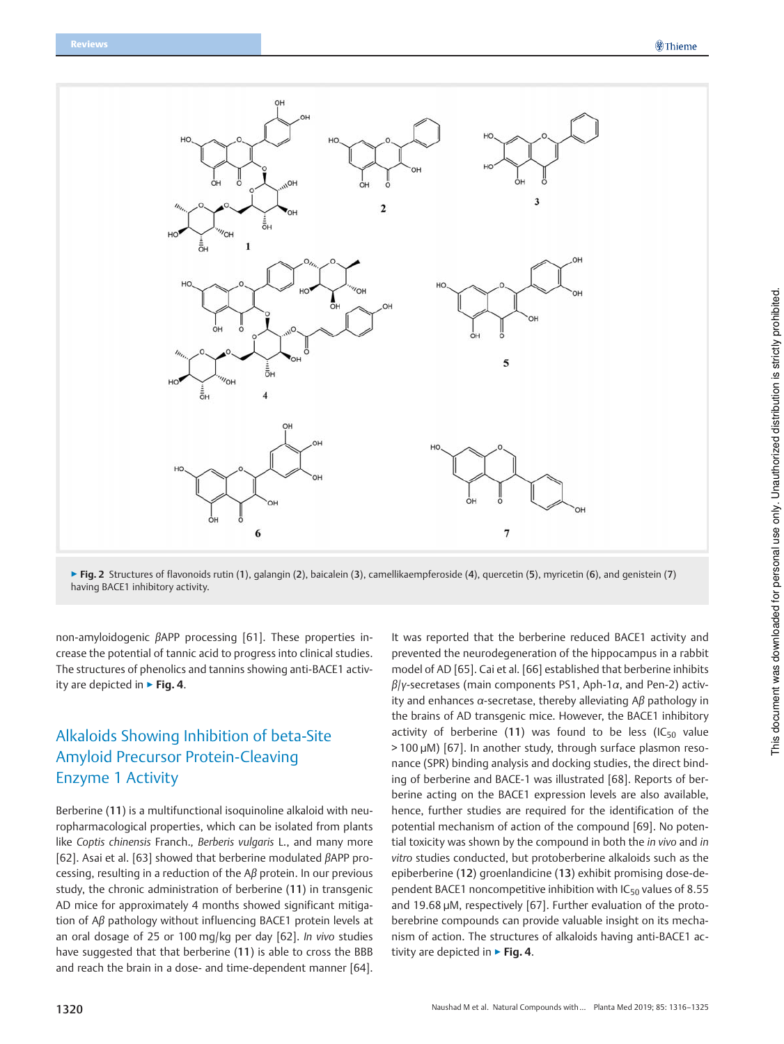

▶ Fig. 2 Structures of flavonoids rutin (1), galangin (2), baicalein (3), camellikaempferoside (4), quercetin (5), myricetin (6), and genistein (7) having BACE1 inhibitory activity.

non-amyloidogenic βAPP processing [61]. These properties increase the potential of tannic acid to progress into clinical studies. The structures of phenolics and tannins showing anti-BACE1 activity are depicted in  $\triangleright$  Fig. 4.

# Alkaloids Showing Inhibition of beta-Site Amyloid Precursor Protein-Cleaving Enzyme 1 Activity

Berberine (11) is a multifunctional isoquinoline alkaloid with neuropharmacological properties, which can be isolated from plants like Coptis chinensis Franch., Berberis vulgaris L., and many more [62]. Asai et al. [63] showed that berberine modulated βAPP processing, resulting in a reduction of the Aβ protein. In our previous study, the chronic administration of berberine (11) in transgenic AD mice for approximately 4 months showed significant mitigation of Aβ pathology without influencing BACE1 protein levels at an oral dosage of 25 or 100 mg/kg per day [62]. In vivo studies have suggested that that berberine (11) is able to cross the BBB and reach the brain in a dose- and time-dependent manner [64].

It was reported that the berberine reduced BACE1 activity and prevented the neurodegeneration of the hippocampus in a rabbit model of AD [65]. Cai et al. [66] established that berberine inhibits  $\beta$ /y-secretases (main components PS1, Aph-1 $\alpha$ , and Pen-2) activity and enhances  $α$ -secretase, thereby alleviating  $Aβ$  pathology in the brains of AD transgenic mice. However, the BACE1 inhibitory activity of berberine (11) was found to be less (IC $_{50}$  value > 100 µM) [67]. In another study, through surface plasmon resonance (SPR) binding analysis and docking studies, the direct binding of berberine and BACE-1 was illustrated [68]. Reports of berberine acting on the BACE1 expression levels are also available, hence, further studies are required for the identification of the potential mechanism of action of the compound [69]. No potential toxicity was shown by the compound in both the *in vivo* and *in* vitro studies conducted, but protoberberine alkaloids such as the epiberberine (12) groenlandicine (13) exhibit promising dose-dependent BACE1 noncompetitive inhibition with  $IC_{50}$  values of 8.55 and 19.68 µM, respectively [67]. Further evaluation of the protoberebrine compounds can provide valuable insight on its mechanism of action. The structures of alkaloids having anti-BACE1 activity are depicted in  $\triangleright$  Fig. 4.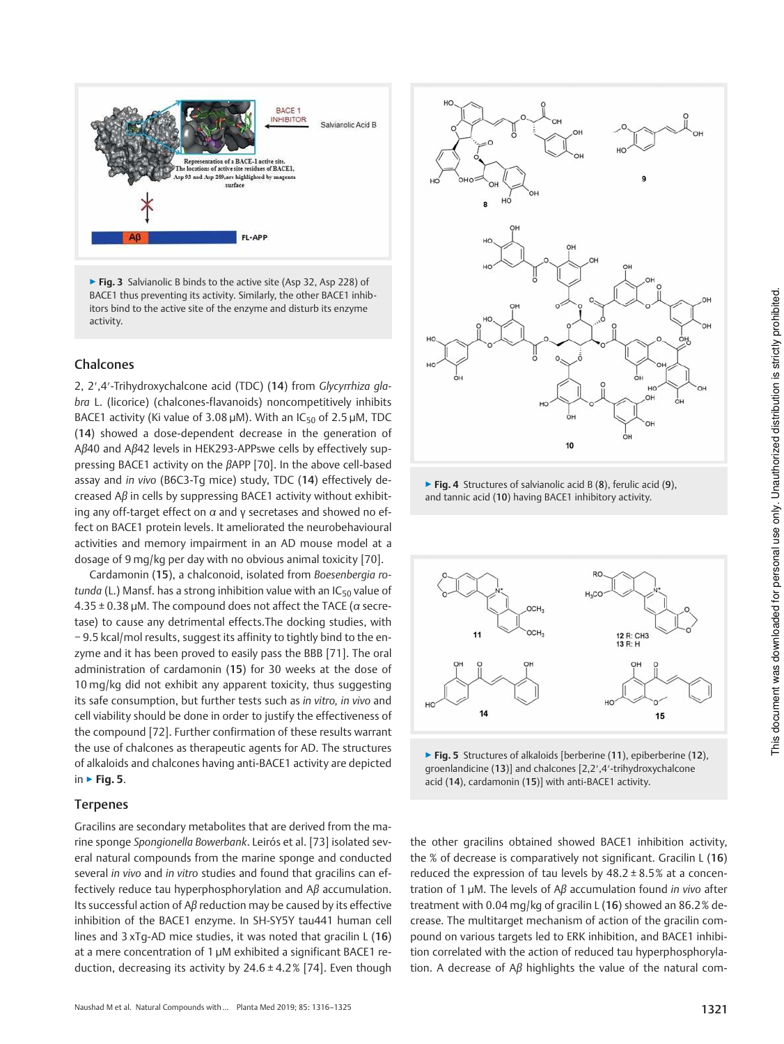

▶ Fig. 3 Salvianolic B binds to the active site (Asp 32, Asp 228) of BACE1 thus preventing its activity. Similarly, the other BACE1 inhibitors bind to the active site of the enzyme and disturb its enzyme activity.

## Chalcones

2, 2′,4′-Trihydroxychalcone acid (TDC) (14) from Glycyrrhiza glabra L. (licorice) (chalcones-flavanoids) noncompetitively inhibits BACE1 activity (Ki value of 3.08  $\mu$ M). With an IC<sub>50</sub> of 2.5  $\mu$ M, TDC (14) showed a dose-dependent decrease in the generation of Aβ40 and Aβ42 levels in HEK293-APPswe cells by effectively suppressing BACE1 activity on the βAPP [70]. In the above cell-based assay and in vivo (B6C3-Tg mice) study, TDC (14) effectively decreased Aβ in cells by suppressing BACE1 activity without exhibiting any off-target effect on  $\alpha$  and y secretases and showed no effect on BACE1 protein levels. It ameliorated the neurobehavioural activities and memory impairment in an AD mouse model at a dosage of 9 mg/kg per day with no obvious animal toxicity [70].

Cardamonin (15), a chalconoid, isolated from Boesenbergia rotunda (L.) Mansf. has a strong inhibition value with an  $IC_{50}$  value of  $4.35 \pm 0.38$  µM. The compound does not affect the TACE ( $\alpha$  secretase) to cause any detrimental effects.The docking studies, with − 9.5 kcal/mol results, suggest its affinity to tightly bind to the enzyme and it has been proved to easily pass the BBB [71]. The oral administration of cardamonin (15) for 30 weeks at the dose of 10 mg/kg did not exhibit any apparent toxicity, thus suggesting its safe consumption, but further tests such as in vitro, in vivo and cell viability should be done in order to justify the effectiveness of the compound [72]. Further confirmation of these results warrant the use of chalcones as therapeutic agents for AD. The structures of alkaloids and chalcones having anti-BACE1 activity are depicted in  $\triangleright$  Fig. 5.

### Terpenes

Gracilins are secondary metabolites that are derived from the marine sponge Spongionella Bowerbank. Leirós et al. [73] isolated several natural compounds from the marine sponge and conducted several in vivo and in vitro studies and found that gracilins can effectively reduce tau hyperphosphorylation and  $A\beta$  accumulation. Its successful action of Aβ reduction may be caused by its effective inhibition of the BACE1 enzyme. In SH-SY5Y tau441 human cell lines and 3 xTg-AD mice studies, it was noted that gracilin L (16) at a mere concentration of 1 µM exhibited a significant BACE1 reduction, decreasing its activity by 24.6 ± 4.2% [74]. Even though



 $\triangleright$  Fig. 4 Structures of salvianolic acid B (8), ferulic acid (9), and tannic acid (10) having BACE1 inhibitory activity.



 $\triangleright$  Fig. 5 Structures of alkaloids [berberine (11), epiberberine (12), groenlandicine (13)] and chalcones [2,2′,4′-trihydroxychalcone acid (14), cardamonin (15)] with anti-BACE1 activity.

the other gracilins obtained showed BACE1 inhibition activity, the % of decrease is comparatively not significant. Gracilin L (16) reduced the expression of tau levels by 48.2 ± 8.5% at a concentration of 1 μM. The levels of  $A\beta$  accumulation found in vivo after treatment with 0.04 mg/kg of gracilin L (16) showed an 86.2% decrease. The multitarget mechanism of action of the gracilin compound on various targets led to ERK inhibition, and BACE1 inhibition correlated with the action of reduced tau hyperphosphorylation. A decrease of  $A\beta$  highlights the value of the natural com-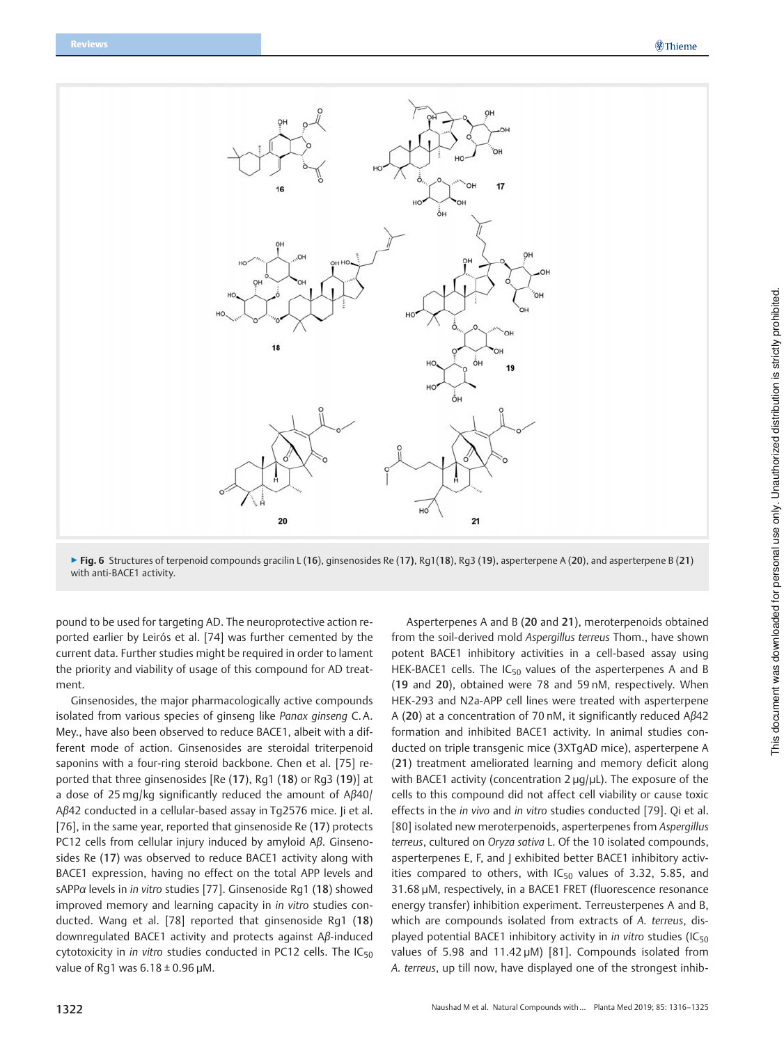

▶ Fig. 6 Structures of terpenoid compounds gracilin L (16), ginsenosides Re (17), Rg1(18), Rg3 (19), asperterpene A (20), and asperterpene B (21) with anti-BACE1 activity.

pound to be used for targeting AD. The neuroprotective action reported earlier by Leirós et al. [74] was further cemented by the current data. Further studies might be required in order to lament the priority and viability of usage of this compound for AD treatment.

Ginsenosides, the major pharmacologically active compounds isolated from various species of ginseng like Panax ginseng C. A. Mey., have also been observed to reduce BACE1, albeit with a different mode of action. Ginsenosides are steroidal triterpenoid saponins with a four-ring steroid backbone. Chen et al. [75] reported that three ginsenosides [Re (17), Rg1 (18) or Rg3 (19)] at a dose of 25 mg/kg significantly reduced the amount of Aβ40/ Aβ42 conducted in a cellular-based assay in Tg2576 mice. Ji et al. [76], in the same year, reported that ginsenoside Re (17) protects PC12 cells from cellular injury induced by amyloid Aβ. Ginsenosides Re (17) was observed to reduce BACE1 activity along with BACE1 expression, having no effect on the total APP levels and sAPPα levels in in vitro studies [77]. Ginsenoside Rg1 (18) showed improved memory and learning capacity in *in vitro* studies conducted. Wang et al. [78] reported that ginsenoside Rg1 (18) downregulated BACE1 activity and protects against Aβ-induced cytotoxicity in in vitro studies conducted in PC12 cells. The  $IC_{50}$ value of Rg1 was  $6.18 \pm 0.96$  µM.

Asperterpenes A and B (20 and 21), meroterpenoids obtained from the soil-derived mold Aspergillus terreus Thom., have shown potent BACE1 inhibitory activities in a cell-based assay using HEK-BACE1 cells. The  $IC_{50}$  values of the asperterpenes A and B (19 and 20), obtained were 78 and 59 nM, respectively. When HEK-293 and N2a-APP cell lines were treated with asperterpene A (20) at a concentration of 70 nM, it significantly reduced Aβ42 formation and inhibited BACE1 activity. In animal studies conducted on triple transgenic mice (3XTgAD mice), asperterpene A (21) treatment ameliorated learning and memory deficit along with BACE1 activity (concentration 2 µq/µL). The exposure of the cells to this compound did not affect cell viability or cause toxic effects in the in vivo and in vitro studies conducted [79]. Qi et al. [80] isolated new meroterpenoids, asperterpenes from Aspergillus terreus, cultured on Oryza sativa L. Of the 10 isolated compounds, asperterpenes E, F, and | exhibited better BACE1 inhibitory activities compared to others, with  $IC_{50}$  values of 3.32, 5.85, and 31.68 µM, respectively, in a BACE1 FRET (fluorescence resonance energy transfer) inhibition experiment. Terreusterpenes A and B, which are compounds isolated from extracts of A. terreus, displayed potential BACE1 inhibitory activity in *in vitro* studies (IC<sub>50</sub> values of 5.98 and 11.42 µM) [81]. Compounds isolated from A. terreus, up till now, have displayed one of the strongest inhib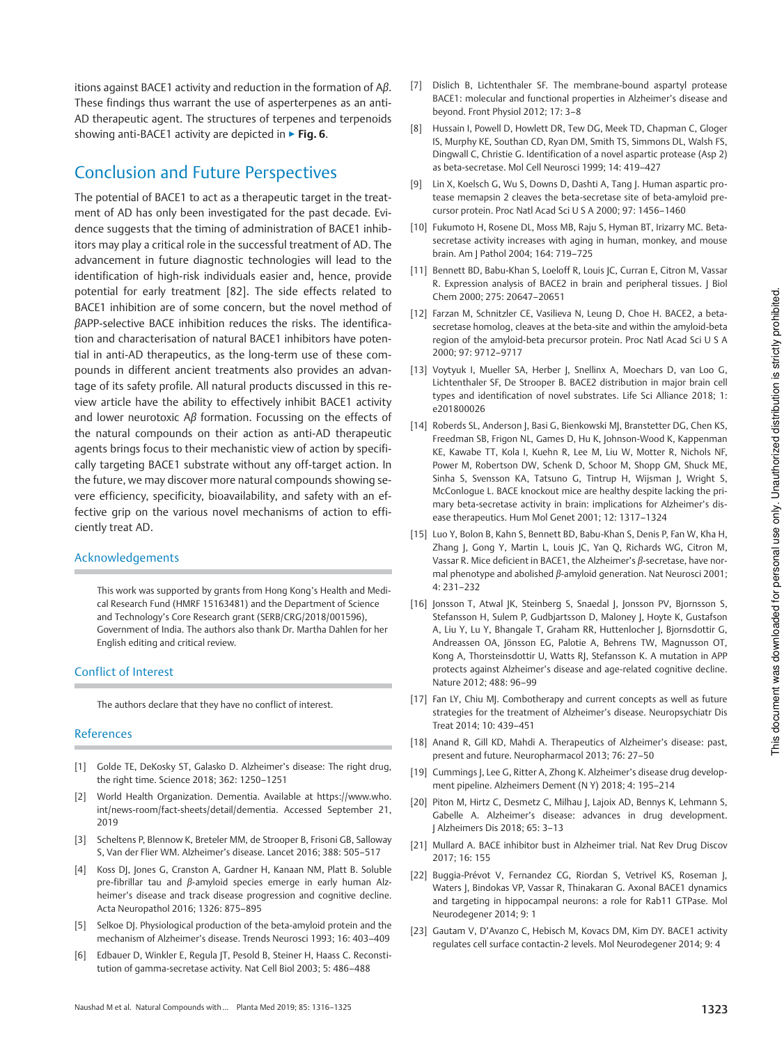itions against BACE1 activity and reduction in the formation of  $A\beta$ . These findings thus warrant the use of asperterpenes as an anti-AD therapeutic agent. The structures of terpenes and terpenoids showing anti-BACE1 activity are depicted in ► Fig. 6.

## Conclusion and Future Perspectives

The potential of BACE1 to act as a therapeutic target in the treatment of AD has only been investigated for the past decade. Evidence suggests that the timing of administration of BACE1 inhibitors may play a critical role in the successful treatment of AD. The advancement in future diagnostic technologies will lead to the identification of high-risk individuals easier and, hence, provide potential for early treatment [82]. The side effects related to BACE1 inhibition are of some concern, but the novel method of βAPP-selective BACE inhibition reduces the risks. The identification and characterisation of natural BACE1 inhibitors have potential in anti-AD therapeutics, as the long-term use of these compounds in different ancient treatments also provides an advantage of its safety profile. All natural products discussed in this review article have the ability to effectively inhibit BACE1 activity and lower neurotoxic Aβ formation. Focussing on the effects of the natural compounds on their action as anti-AD therapeutic agents brings focus to their mechanistic view of action by specifically targeting BACE1 substrate without any off-target action. In the future, we may discover more natural compounds showing severe efficiency, specificity, bioavailability, and safety with an effective grip on the various novel mechanisms of action to efficiently treat AD.

### Acknowledgements

This work was supported by grants from Hong Kong's Health and Medical Research Fund (HMRF 15163481) and the Department of Science and Technology's Core Research grant (SERB/CRG/2018/001596), Government of India. The authors also thank Dr. Martha Dahlen for her English editing and critical review.

### Conflict of Interest

The authors declare that they have no conflict of interest.

### References

- [1] Golde TE, DeKosky ST, Galasko D. Alzheimer's disease: The right drug, the right time. Science 2018; 362: 1250–1251
- [2] World Health Organization. Dementia. Available at https://www.who. int/news-room/fact-sheets/detail/dementia. Accessed September 21, 2019
- [3] Scheltens P, Blennow K, Breteler MM, de Strooper B, Frisoni GB, Salloway S, Van der Flier WM. Alzheimer's disease. Lancet 2016; 388: 505–517
- [4] Koss DJ, Jones G, Cranston A, Gardner H, Kanaan NM, Platt B. Soluble pre-fibrillar tau and β-amyloid species emerge in early human Alzheimer's disease and track disease progression and cognitive decline. Acta Neuropathol 2016; 1326: 875–895
- [5] Selkoe DJ. Physiological production of the beta-amyloid protein and the mechanism of Alzheimer's disease. Trends Neurosci 1993; 16: 403–409
- [6] Edbauer D, Winkler E, Regula JT, Pesold B, Steiner H, Haass C. Reconstitution of gamma-secretase activity. Nat Cell Biol 2003; 5: 486–488
- [7] Dislich B, Lichtenthaler SF. The membrane-bound aspartyl protease BACE1: molecular and functional properties in Alzheimer's disease and beyond. Front Physiol 2012; 17: 3–8
- [8] Hussain I, Powell D, Howlett DR, Tew DG, Meek TD, Chapman C, Gloger IS, Murphy KE, Southan CD, Ryan DM, Smith TS, Simmons DL, Walsh FS, Dingwall C, Christie G. Identification of a novel aspartic protease (Asp 2) as beta-secretase. Mol Cell Neurosci 1999; 14: 419–427
- [9] Lin X, Koelsch G, Wu S, Downs D, Dashti A, Tang J. Human aspartic protease memapsin 2 cleaves the beta-secretase site of beta-amyloid precursor protein. Proc Natl Acad Sci U S A 2000; 97: 1456–1460
- [10] Fukumoto H, Rosene DL, Moss MB, Raju S, Hyman BT, Irizarry MC. Betasecretase activity increases with aging in human, monkey, and mouse brain. Am J Pathol 2004; 164: 719–725
- [11] Bennett BD, Babu-Khan S, Loeloff R, Louis JC, Curran E, Citron M, Vassar R. Expression analysis of BACE2 in brain and peripheral tissues. J Biol Chem 2000; 275: 20647–20651
- [12] Farzan M, Schnitzler CE, Vasilieva N, Leung D, Choe H. BACE2, a betasecretase homolog, cleaves at the beta-site and within the amyloid-beta region of the amyloid-beta precursor protein. Proc Natl Acad Sci U S A 2000; 97: 9712–9717
- [13] Voytyuk I, Mueller SA, Herber J, Snellinx A, Moechars D, van Loo G, Lichtenthaler SF, De Strooper B. BACE2 distribution in major brain cell types and identification of novel substrates. Life Sci Alliance 2018; 1: e201800026
- [14] Roberds SL, Anderson J, Basi G, Bienkowski MJ, Branstetter DG, Chen KS, Freedman SB, Frigon NL, Games D, Hu K, Johnson-Wood K, Kappenman KE, Kawabe TT, Kola I, Kuehn R, Lee M, Liu W, Motter R, Nichols NF, Power M, Robertson DW, Schenk D, Schoor M, Shopp GM, Shuck ME, Sinha S, Svensson KA, Tatsuno G, Tintrup H, Wijsman J, Wright S, McConlogue L. BACE knockout mice are healthy despite lacking the primary beta-secretase activity in brain: implications for Alzheimer's disease therapeutics. Hum Mol Genet 2001; 12: 1317–1324
- [15] Luo Y, Bolon B, Kahn S, Bennett BD, Babu-Khan S, Denis P, Fan W, Kha H, Zhang J, Gong Y, Martin L, Louis JC, Yan Q, Richards WG, Citron M, Vassar R. Mice deficient in BACE1, the Alzheimer's β-secretase, have normal phenotype and abolished β-amyloid generation. Nat Neurosci 2001; 4: 231–232
- [16] Jonsson T, Atwal JK, Steinberg S, Snaedal J, Jonsson PV, Bjornsson S, Stefansson H, Sulem P, Gudbjartsson D, Maloney J, Hoyte K, Gustafson A, Liu Y, Lu Y, Bhangale T, Graham RR, Huttenlocher J, Bjornsdottir G, Andreassen OA, Jönsson EG, Palotie A, Behrens TW, Magnusson OT, Kong A, Thorsteinsdottir U, Watts RJ, Stefansson K. A mutation in APP protects against Alzheimer's disease and age-related cognitive decline. Nature 2012; 488: 96–99
- [17] Fan LY, Chiu MJ. Combotherapy and current concepts as well as future strategies for the treatment of Alzheimer's disease. Neuropsychiatr Dis Treat 2014; 10: 439–451
- [18] Anand R, Gill KD, Mahdi A. Therapeutics of Alzheimer's disease: past, present and future. Neuropharmacol 2013; 76: 27–50
- [19] Cummings J, Lee G, Ritter A, Zhong K. Alzheimer's disease drug development pipeline. Alzheimers Dement (N Y) 2018; 4: 195–214
- [20] Piton M, Hirtz C, Desmetz C, Milhau J, Lajoix AD, Bennys K, Lehmann S, Gabelle A. Alzheimer's disease: advances in drug development. J Alzheimers Dis 2018; 65: 3–13
- [21] Mullard A. BACE inhibitor bust in Alzheimer trial. Nat Rev Drug Discov 2017; 16: 155
- [22] Buggia-Prévot V, Fernandez CG, Riordan S, Vetrivel KS, Roseman J, Waters J, Bindokas VP, Vassar R, Thinakaran G. Axonal BACE1 dynamics and targeting in hippocampal neurons: a role for Rab11 GTPase. Mol Neurodegener 2014; 9: 1
- [23] Gautam V, D'Avanzo C, Hebisch M, Kovacs DM, Kim DY. BACE1 activity regulates cell surface contactin-2 levels. Mol Neurodegener 2014; 9: 4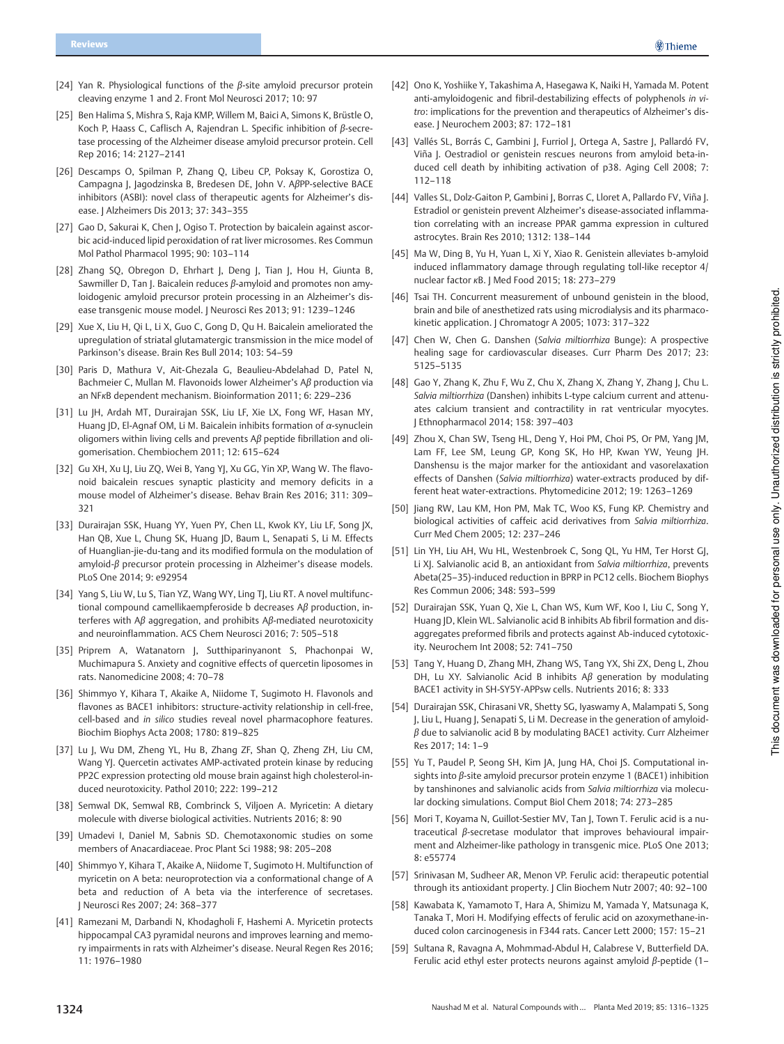- [24] Yan R. Physiological functions of the β-site amyloid precursor protein cleaving enzyme 1 and 2. Front Mol Neurosci 2017; 10: 97
- [25] Ben Halima S, Mishra S, Raja KMP, Willem M, Baici A, Simons K, Brüstle O, Koch P, Haass C, Caflisch A, Rajendran L. Specific inhibition of β-secretase processing of the Alzheimer disease amyloid precursor protein. Cell Rep 2016; 14: 2127–2141
- [26] Descamps O, Spilman P, Zhang Q, Libeu CP, Poksay K, Gorostiza O, Campagna J, Jagodzinska B, Bredesen DE, John V. AβPP-selective BACE inhibitors (ASBI): novel class of therapeutic agents for Alzheimer's disease. J Alzheimers Dis 2013; 37: 343–355
- [27] Gao D, Sakurai K, Chen J, Ogiso T. Protection by baicalein against ascorbic acid-induced lipid peroxidation of rat liver microsomes. Res Commun Mol Pathol Pharmacol 1995; 90: 103–114
- [28] Zhang SQ, Obregon D, Ehrhart J, Deng J, Tian J, Hou H, Giunta B, Sawmiller D, Tan J. Baicalein reduces β-amyloid and promotes non amyloidogenic amyloid precursor protein processing in an Alzheimer's disease transgenic mouse model. J Neurosci Res 2013; 91: 1239–1246
- [29] Xue X, Liu H, Qi L, Li X, Guo C, Gong D, Qu H. Baicalein ameliorated the upregulation of striatal glutamatergic transmission in the mice model of Parkinson's disease. Brain Res Bull 2014; 103: 54–59
- [30] Paris D, Mathura V, Ait-Ghezala G, Beaulieu-Abdelahad D, Patel N, Bachmeier C, Mullan M. Flavonoids lower Alzheimer's Aβ production via an NFκB dependent mechanism. Bioinformation 2011; 6: 229–236
- [31] Lu JH, Ardah MT, Durairajan SSK, Liu LF, Xie LX, Fong WF, Hasan MY, Huang JD, El-Agnaf OM, Li M. Baicalein inhibits formation of α-synuclein oligomers within living cells and prevents Aβ peptide fibrillation and oligomerisation. Chembiochem 2011; 12: 615–624
- [32] Gu XH, Xu LJ, Liu ZQ, Wei B, Yang YJ, Xu GG, Yin XP, Wang W. The flavonoid baicalein rescues synaptic plasticity and memory deficits in a mouse model of Alzheimer's disease. Behav Brain Res 2016; 311: 309– 321
- [33] Durairajan SSK, Huang YY, Yuen PY, Chen LL, Kwok KY, Liu LF, Song JX, Han QB, Xue L, Chung SK, Huang JD, Baum L, Senapati S, Li M. Effects of Huanglian-jie-du-tang and its modified formula on the modulation of amyloid-β precursor protein processing in Alzheimer's disease models. PLoS One 2014; 9: e92954
- [34] Yang S, Liu W, Lu S, Tian YZ, Wang WY, Ling TJ, Liu RT. A novel multifunctional compound camellikaempferoside b decreases Aβ production, interferes with Aβ aggregation, and prohibits Aβ-mediated neurotoxicity and neuroinflammation. ACS Chem Neurosci 2016; 7: 505–518
- [35] Priprem A, Watanatorn J, Sutthiparinyanont S, Phachonpai W, Muchimapura S. Anxiety and cognitive effects of quercetin liposomes in rats. Nanomedicine 2008; 4: 70–78
- [36] Shimmyo Y, Kihara T, Akaike A, Niidome T, Sugimoto H. Flavonols and flavones as BACE1 inhibitors: structure-activity relationship in cell-free, cell-based and in silico studies reveal novel pharmacophore features. Biochim Biophys Acta 2008; 1780: 819–825
- [37] Lu J, Wu DM, Zheng YL, Hu B, Zhang ZF, Shan Q, Zheng ZH, Liu CM, Wang YJ. Quercetin activates AMP-activated protein kinase by reducing PP2C expression protecting old mouse brain against high cholesterol-induced neurotoxicity. Pathol 2010; 222: 199–212
- [38] Semwal DK, Semwal RB, Combrinck S, Viljoen A. Myricetin: A dietary molecule with diverse biological activities. Nutrients 2016; 8: 90
- [39] Umadevi I, Daniel M, Sabnis SD. Chemotaxonomic studies on some members of Anacardiaceae. Proc Plant Sci 1988; 98: 205–208
- [40] Shimmyo Y, Kihara T, Akaike A, Niidome T, Sugimoto H. Multifunction of myricetin on A beta: neuroprotection via a conformational change of A beta and reduction of A beta via the interference of secretases. J Neurosci Res 2007; 24: 368–377
- [41] Ramezani M, Darbandi N, Khodagholi F, Hashemi A. Myricetin protects hippocampal CA3 pyramidal neurons and improves learning and memory impairments in rats with Alzheimer's disease. Neural Regen Res 2016; 11: 1976–1980
- [42] Ono K, Yoshiike Y, Takashima A, Hasegawa K, Naiki H, Yamada M. Potent anti-amyloidogenic and fibril-destabilizing effects of polyphenols in vitro: implications for the prevention and therapeutics of Alzheimer's disease. J Neurochem 2003; 87: 172–181
- [43] Vallés SL, Borrás C, Gambini J, Furriol J, Ortega A, Sastre J, Pallardó FV, Viña J. Oestradiol or genistein rescues neurons from amyloid beta-induced cell death by inhibiting activation of p38. Aging Cell 2008; 7: 112–118
- [44] Valles SL, Dolz-Gaiton P, Gambini J, Borras C, Lloret A, Pallardo FV, Viña J. Estradiol or genistein prevent Alzheimer's disease-associated inflammation correlating with an increase PPAR gamma expression in cultured astrocytes. Brain Res 2010; 1312: 138–144
- [45] Ma W, Ding B, Yu H, Yuan L, Xi Y, Xiao R. Genistein alleviates b-amyloid induced inflammatory damage through regulating toll-like receptor 4/ nuclear factor κB. J Med Food 2015; 18: 273–279
- [46] Tsai TH. Concurrent measurement of unbound genistein in the blood brain and bile of anesthetized rats using microdialysis and its pharmacokinetic application. J Chromatogr A 2005; 1073: 317–322
- [47] Chen W, Chen G. Danshen (Salvia miltiorrhiza Bunge): A prospective healing sage for cardiovascular diseases. Curr Pharm Des 2017; 23: 5125–5135
- [48] Gao Y, Zhang K, Zhu F, Wu Z, Chu X, Zhang X, Zhang Y, Zhang J, Chu L. Salvia miltiorrhiza (Danshen) inhibits L-type calcium current and attenuates calcium transient and contractility in rat ventricular myocytes. J Ethnopharmacol 2014; 158: 397–403
- [49] Zhou X, Chan SW, Tseng HL, Deng Y, Hoi PM, Choi PS, Or PM, Yang JM, Lam FF, Lee SM, Leung GP, Kong SK, Ho HP, Kwan YW, Yeung JH. Danshensu is the major marker for the antioxidant and vasorelaxation effects of Danshen (Salvia miltiorrhiza) water-extracts produced by different heat water-extractions. Phytomedicine 2012; 19: 1263–1269
- [50] Jiang RW, Lau KM, Hon PM, Mak TC, Woo KS, Fung KP. Chemistry and biological activities of caffeic acid derivatives from Salvia miltiorrhiza. Curr Med Chem 2005; 12: 237–246
- [51] Lin YH, Liu AH, Wu HL, Westenbroek C, Song QL, Yu HM, Ter Horst GJ, Li XJ. Salvianolic acid B, an antioxidant from Salvia miltiorrhiza, prevents Abeta(25–35)-induced reduction in BPRP in PC12 cells. Biochem Biophys Res Commun 2006; 348: 593–599
- [52] Durairajan SSK, Yuan Q, Xie L, Chan WS, Kum WF, Koo I, Liu C, Song Y, Huang JD, Klein WL. Salvianolic acid B inhibits Ab fibril formation and disaggregates preformed fibrils and protects against Ab-induced cytotoxicity. Neurochem Int 2008; 52: 741–750
- [53] Tang Y, Huang D, Zhang MH, Zhang WS, Tang YX, Shi ZX, Deng L, Zhou DH, Lu XY. Salvianolic Acid B inhibits Aβ generation by modulating BACE1 activity in SH-SY5Y-APPsw cells. Nutrients 2016; 8: 333
- [54] Durairajan SSK, Chirasani VR, Shetty SG, Iyaswamy A, Malampati S, Song J, Liu L, Huang J, Senapati S, Li M. Decrease in the generation of amyloid $β$  due to salvianolic acid B by modulating BACE1 activity. Curr Alzheimer Res 2017; 14: 1–9
- [55] Yu T, Paudel P, Seong SH, Kim JA, Jung HA, Choi JS. Computational insights into β-site amyloid precursor protein enzyme 1 (BACE1) inhibition by tanshinones and salvianolic acids from Salvia miltiorrhiza via molecular docking simulations. Comput Biol Chem 2018; 74: 273–285
- [56] Mori T, Koyama N, Guillot-Sestier MV, Tan J, Town T. Ferulic acid is a nutraceutical β-secretase modulator that improves behavioural impairment and Alzheimer-like pathology in transgenic mice. PLoS One 2013; 8: e55774
- [57] Srinivasan M, Sudheer AR, Menon VP. Ferulic acid: therapeutic potential through its antioxidant property. J Clin Biochem Nutr 2007; 40: 92–100
- [58] Kawabata K, Yamamoto T, Hara A, Shimizu M, Yamada Y, Matsunaga K, Tanaka T, Mori H. Modifying effects of ferulic acid on azoxymethane-induced colon carcinogenesis in F344 rats. Cancer Lett 2000; 157: 15–21
- [59] Sultana R, Ravagna A, Mohmmad-Abdul H, Calabrese V, Butterfield DA. Ferulic acid ethyl ester protects neurons against amyloid β-peptide (1–